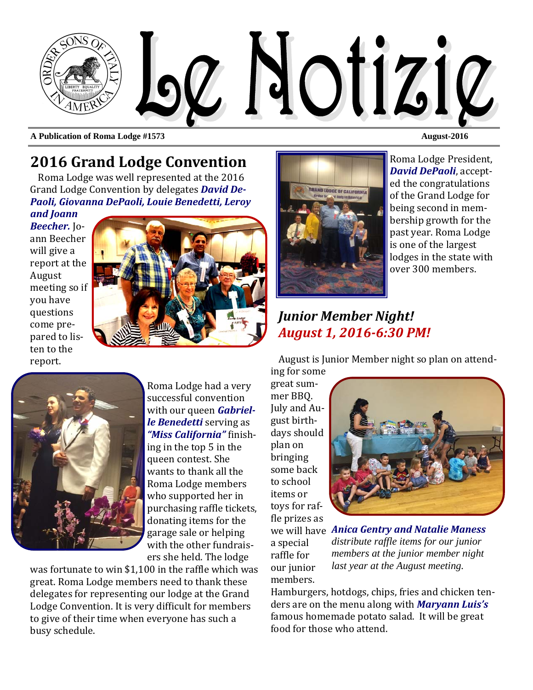

**A Publication of Roma Lodge #1573 August-2016 August-2016** 

# **2016 Grand Lodge Convention**

Roma Lodge was well represented at the 2016 Grand Lodge Convention by delegates **David De-***Paoli, Giovanna DePaoli, Louie Benedetti, Leroy*

*and Joann Beecher.* Jo‐ ann Beecher will give a report at the August meeting so if you have questions come prepared to listen to the report. 





Roma Lodge had a very successful convention with our queen *Gabrielle Benedetti* serving as *"Miss California"* ϐinish‐ ing in the top  $5$  in the queen contest. She wants to thank all the Roma Lodge members who supported her in purchasing raffle tickets, donating items for the garage sale or helping with the other fundraisers she held. The lodge

was fortunate to win  $$1,100$  in the raffle which was great. Roma Lodge members need to thank these delegates for representing our lodge at the Grand Lodge Convention. It is very difficult for members to give of their time when everyone has such a busy schedule.



Roma Lodge President, *David DePaoli*, accepted the congratulations of the Grand Lodge for being second in membership growth for the past year. Roma Lodge is one of the largest lodges in the state with over 300 members.

### *Junior Member Night! August 1, 2016-6:30 PM!*

August is Junior Member night so plan on attend-

ing for some great summer BBQ. July and August birthdays should plan on bringing some back to school items or toys for raffle prizes as a special raffle for our junior

members. 



we will have *Anica Gentry and Natalie Maness distribute raffle items for our junior members at the junior member night last year at the August meeting.* 

Hamburgers, hotdogs, chips, fries and chicken tenders are on the menu along with *Maryann Luis's* famous homemade potato salad. It will be great food for those who attend.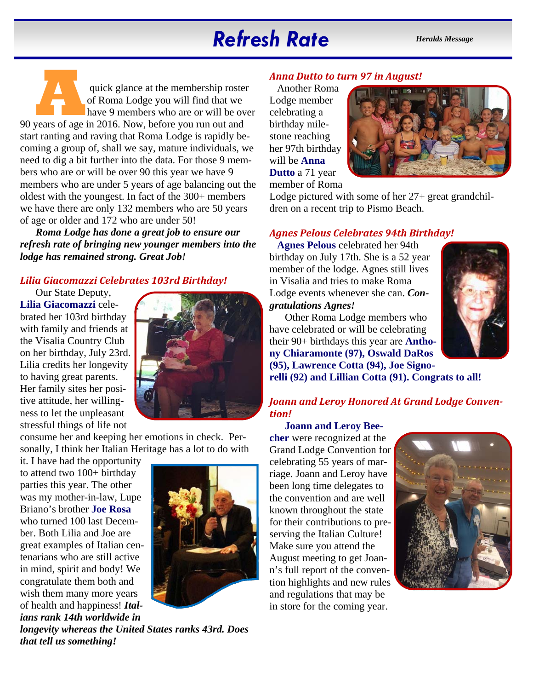# *Refresh Rate Heralds Message*

quick glance at the membership roster<br>
of Roma Lodge you will find that we<br>
have 9 members who are or will be ove<br>
90 years of age in 2016. Now, before you run out and of Roma Lodge you will find that we have 9 members who are or will be over start ranting and raving that Roma Lodge is rapidly becoming a group of, shall we say, mature individuals, we need to dig a bit further into the data. For those 9 members who are or will be over 90 this year we have 9 members who are under 5 years of age balancing out the oldest with the youngest. In fact of the 300+ members we have there are only 132 members who are 50 years of age or older and 172 who are under 50!

*Roma Lodge has done a great job to ensure our refresh rate of bringing new younger members into the lodge has remained strong. Great Job!* 

#### *Lilia Giacomazzi Celebrates 103rd Birthday!*

Our State Deputy, **Lilia Giacomazzi** celebrated her 103rd birthday with family and friends at the Visalia Country Club on her birthday, July 23rd. Lilia credits her longevity to having great parents. Her family sites her positive attitude, her willingness to let the unpleasant stressful things of life not



consume her and keeping her emotions in check. Personally, I think her Italian Heritage has a lot to do with

it. I have had the opportunity to attend two 100+ birthday parties this year. The other was my mother-in-law, Lupe Briano's brother **Joe Rosa**  who turned 100 last December. Both Lilia and Joe are great examples of Italian centenarians who are still active in mind, spirit and body! We congratulate them both and wish them many more years of health and happiness! *Italians rank 14th worldwide in* 



*longevity whereas the United States ranks 43rd. Does that tell us something!* 

#### *Anna Dutto to turn 97 in August!*

Another Roma Lodge member celebrating a birthday milestone reaching her 97th birthday will be **Anna Dutto** a 71 year member of Roma



Lodge pictured with some of her 27+ great grandchildren on a recent trip to Pismo Beach.

#### *Agnes Pelous Celebrates 94th Birthday!*

**Agnes Pelous** celebrated her 94th birthday on July 17th. She is a 52 year member of the lodge. Agnes still lives in Visalia and tries to make Roma Lodge events whenever she can. *Congratulations Agnes!* 



Other Roma Lodge members who have celebrated or will be celebrating their 90+ birthdays this year are **Anthony Chiaramonte (97), Oswald DaRos (95), Lawrence Cotta (94), Joe Signorelli (92) and Lillian Cotta (91). Congrats to all!** 

#### *Joann and Leroy Honored At Grand Lodge Convention!*

**Joann and Leroy Beecher** were recognized at the Grand Lodge Convention for celebrating 55 years of marriage. Joann and Leroy have been long time delegates to the convention and are well known throughout the state for their contributions to preserving the Italian Culture! Make sure you attend the August meeting to get Joann's full report of the convention highlights and new rules and regulations that may be in store for the coming year.

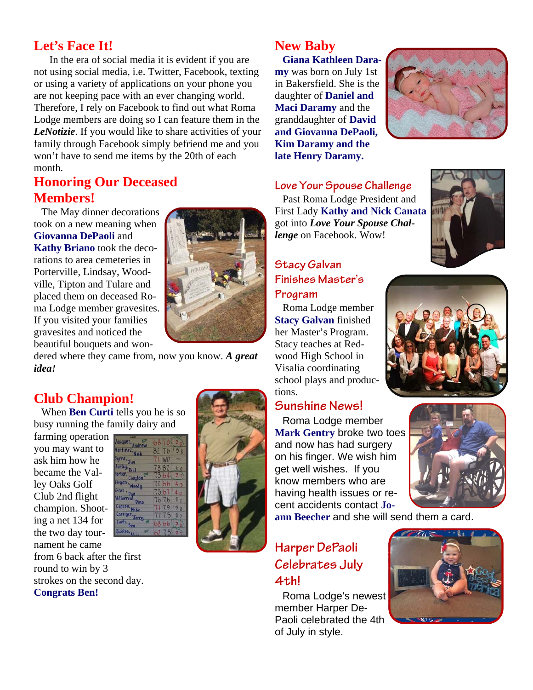### **Let's Face It!**

In the era of social media it is evident if you are not using social media, i.e. Twitter, Facebook, texting or using a variety of applications on your phone you are not keeping pace with an ever changing world. Therefore, I rely on Facebook to find out what Roma Lodge members are doing so I can feature them in the *LeNotizie*. If you would like to share activities of your family through Facebook simply befriend me and you won't have to send me items by the 20th of each month.

### **Honoring Our Deceased Members!**

The May dinner decorations took on a new meaning when **Giovanna DePaoli** and **Kathy Briano** took the decorations to area cemeteries in Porterville, Lindsay, Woodville, Tipton and Tulare and placed them on deceased Roma Lodge member gravesites. If you visited your families gravesites and noticed the beautiful bouquets and won-



dered where they came from, now you know. *A great idea!* 

### **Club Champion!**

When **Ben Curti** tells you he is so busy running the family dairy and

farming operation you may want to ask him how he became the Valley Oaks Golf Club 2nd flight champion. Shoot-Jerry **...** ing a net 134 for the two day tournament he came from 6 back after the first round to win by 3 strokes on the second day. **Congrats Ben!** 



# **New Baby**

**Giana Kathleen Daramy** was born on July 1st in Bakersfield. She is the daughter of **Daniel and Maci Daramy** and the granddaughter of **David and Giovanna DePaoli, Kim Daramy and the late Henry Daramy.** 



#### **Love Your Spouse Challenge**

Past Roma Lodge President and First Lady **Kathy and Nick Canata** got into *Love Your Spouse Challenge* on Facebook. Wow!



# **Stacy Galvan Finishes Master's**

**Program** 

Roma Lodge member **Stacy Galvan** finished her Master's Program. Stacy teaches at Redwood High School in Visalia coordinating school plays and productions.

#### **Sunshine News!**

Roma Lodge member **Mark Gentry** broke two toes and now has had surgery on his finger. We wish him get well wishes. If you know members who are having health issues or recent accidents contact **Jo-**

**ann Beecher** and she will send them a card.

### **Harper DePaoli Celebrates July 4th!**

Roma Lodge's newest member Harper De-Paoli celebrated the 4th of July in style.